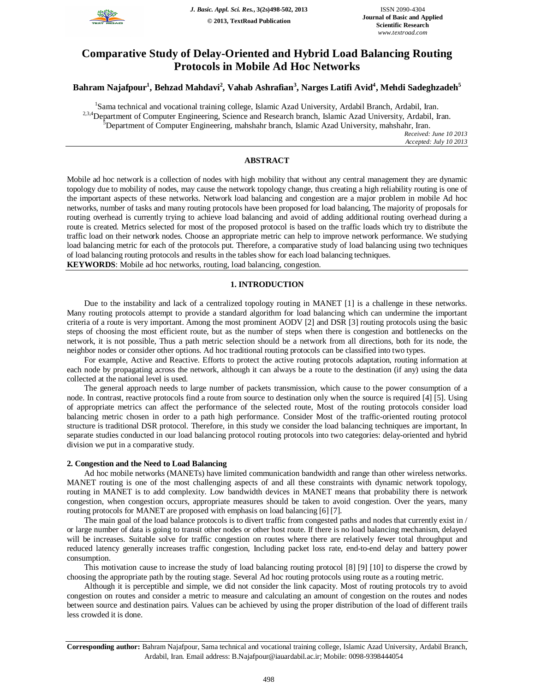

# **Comparative Study of Delay-Oriented and Hybrid Load Balancing Routing Protocols in Mobile Ad Hoc Networks**

# **Bahram Najafpour<sup>1</sup> , Behzad Mahdavi<sup>2</sup> , Vahab Ashrafian<sup>3</sup> , Narges Latifi Avid<sup>4</sup> , Mehdi Sadeghzadeh<sup>5</sup>**

<sup>1</sup>Sama technical and vocational training college, Islamic Azad University, Ardabil Branch, Ardabil, Iran. <sup>2,3,4</sup>Department of Computer Engineering, Science and Research branch, Islamic Azad University, Ardabil, Iran. **Department of Computer Engineering, mahshahr branch, Islamic Azad University, mahshahr, Iran.** *Received: June 10 2013*

*Accepted: July 10 2013*

# **ABSTRACT**

Mobile ad hoc network is a collection of nodes with high mobility that without any central management they are dynamic topology due to mobility of nodes, may cause the network topology change, thus creating a high reliability routing is one of the important aspects of these networks. Network load balancing and congestion are a major problem in mobile Ad hoc networks, number of tasks and many routing protocols have been proposed for load balancing, The majority of proposals for routing overhead is currently trying to achieve load balancing and avoid of adding additional routing overhead during a route is created. Metrics selected for most of the proposed protocol is based on the traffic loads which try to distribute the traffic load on their network nodes. Choose an appropriate metric can help to improve network performance. We studying load balancing metric for each of the protocols put. Therefore, a comparative study of load balancing using two techniques of load balancing routing protocols and results in the tables show for each load balancing techniques.

**KEYWORDS**: Mobile ad hoc networks, routing, load balancing, congestion*.*

# **1. INTRODUCTION**

Due to the instability and lack of a centralized topology routing in MANET [1] is a challenge in these networks. Many routing protocols attempt to provide a standard algorithm for load balancing which can undermine the important criteria of a route is very important. Among the most prominent AODV [2] and DSR [3] routing protocols using the basic steps of choosing the most efficient route, but as the number of steps when there is congestion and bottlenecks on the network, it is not possible, Thus a path metric selection should be a network from all directions, both for its node, the neighbor nodes or consider other options. Ad hoc traditional routing protocols can be classified into two types.

For example, Active and Reactive. Efforts to protect the active routing protocols adaptation, routing information at each node by propagating across the network, although it can always be a route to the destination (if any) using the data collected at the national level is used.

The general approach needs to large number of packets transmission, which cause to the power consumption of a node. In contrast, reactive protocols find a route from source to destination only when the source is required [4] [5]. Using of appropriate metrics can affect the performance of the selected route, Most of the routing protocols consider load balancing metric chosen in order to a path high performance. Consider Most of the traffic-oriented routing protocol structure is traditional DSR protocol. Therefore, in this study we consider the load balancing techniques are important, In separate studies conducted in our load balancing protocol routing protocols into two categories: delay-oriented and hybrid division we put in a comparative study.

## **2. Congestion and the Need to Load Balancing**

Ad hoc mobile networks (MANETs) have limited communication bandwidth and range than other wireless networks. MANET routing is one of the most challenging aspects of and all these constraints with dynamic network topology, routing in MANET is to add complexity. Low bandwidth devices in MANET means that probability there is network congestion, when congestion occurs, appropriate measures should be taken to avoid congestion. Over the years, many routing protocols for MANET are proposed with emphasis on load balancing [6] [7].

The main goal of the load balance protocols is to divert traffic from congested paths and nodes that currently exist in / or large number of data is going to transit other nodes or other host route. If there is no load balancing mechanism, delayed will be increases. Suitable solve for traffic congestion on routes where there are relatively fewer total throughput and reduced latency generally increases traffic congestion, Including packet loss rate, end-to-end delay and battery power consumption.

This motivation cause to increase the study of load balancing routing protocol [8] [9] [10] to disperse the crowd by choosing the appropriate path by the routing stage. Several Ad hoc routing protocols using route as a routing metric.

Although it is perceptible and simple, we did not consider the link capacity. Most of routing protocols try to avoid congestion on routes and consider a metric to measure and calculating an amount of congestion on the routes and nodes between source and destination pairs. Values can be achieved by using the proper distribution of the load of different trails less crowded it is done.

**Corresponding author:** Bahram Najafpour, Sama technical and vocational training college, Islamic Azad University, Ardabil Branch, Ardabil, Iran. Email address: B.Najafpour@iauardabil.ac.ir; Mobile: 0098-9398444054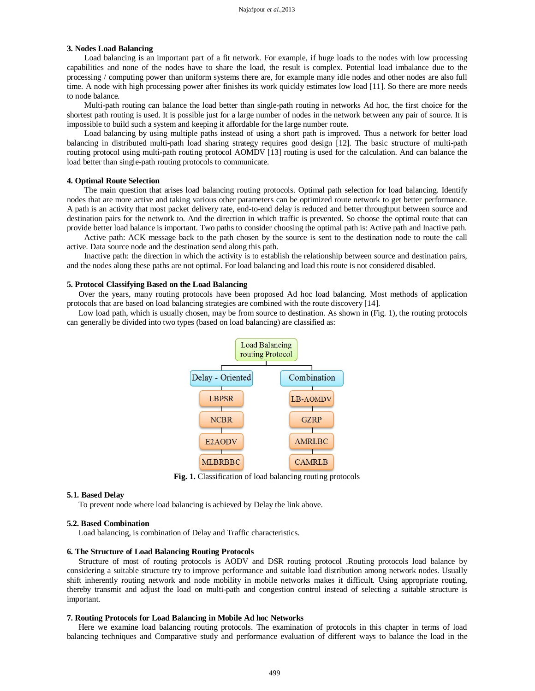# **3. Nodes Load Balancing**

Load balancing is an important part of a fit network. For example, if huge loads to the nodes with low processing capabilities and none of the nodes have to share the load, the result is complex. Potential load imbalance due to the processing / computing power than uniform systems there are, for example many idle nodes and other nodes are also full time. A node with high processing power after finishes its work quickly estimates low load [11]. So there are more needs to node balance.

Multi-path routing can balance the load better than single-path routing in networks Ad hoc, the first choice for the shortest path routing is used. It is possible just for a large number of nodes in the network between any pair of source. It is impossible to build such a system and keeping it affordable for the large number route.

Load balancing by using multiple paths instead of using a short path is improved. Thus a network for better load balancing in distributed multi-path load sharing strategy requires good design [12]. The basic structure of multi-path routing protocol using multi-path routing protocol AOMDV [13] routing is used for the calculation. And can balance the load better than single-path routing protocols to communicate.

#### **4. Optimal Route Selection**

The main question that arises load balancing routing protocols. Optimal path selection for load balancing. Identify nodes that are more active and taking various other parameters can be optimized route network to get better performance. A path is an activity that most packet delivery rate, end-to-end delay is reduced and better throughput between source and destination pairs for the network to. And the direction in which traffic is prevented. So choose the optimal route that can provide better load balance is important. Two paths to consider choosing the optimal path is: Active path and Inactive path.

Active path: ACK message back to the path chosen by the source is sent to the destination node to route the call active. Data source node and the destination send along this path.

Inactive path: the direction in which the activity is to establish the relationship between source and destination pairs, and the nodes along these paths are not optimal. For load balancing and load this route is not considered disabled.

#### **5. Protocol Classifying Based on the Load Balancing**

Over the years, many routing protocols have been proposed Ad hoc load balancing. Most methods of application protocols that are based on load balancing strategies are combined with the route discovery [14].

Low load path, which is usually chosen, may be from source to destination. As shown in (Fig. 1), the routing protocols can generally be divided into two types (based on load balancing) are classified as:



**Fig. 1.** Classification of load balancing routing protocols

#### **5.1. Based Delay**

To prevent node where load balancing is achieved by Delay the link above.

#### **5.2. Based Combination**

Load balancing, is combination of Delay and Traffic characteristics.

#### **6. The Structure of Load Balancing Routing Protocols**

Structure of most of routing protocols is AODV and DSR routing protocol .Routing protocols load balance by considering a suitable structure try to improve performance and suitable load distribution among network nodes. Usually shift inherently routing network and node mobility in mobile networks makes it difficult. Using appropriate routing, thereby transmit and adjust the load on multi-path and congestion control instead of selecting a suitable structure is important.

#### **7. Routing Protocols for Load Balancing in Mobile Ad hoc Networks**

Here we examine load balancing routing protocols. The examination of protocols in this chapter in terms of load balancing techniques and Comparative study and performance evaluation of different ways to balance the load in the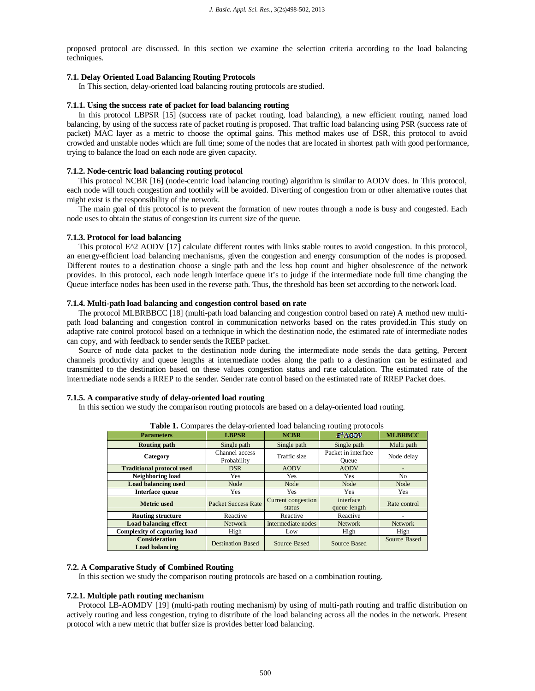proposed protocol are discussed. In this section we examine the selection criteria according to the load balancing techniques.

# **7.1. Delay Oriented Load Balancing Routing Protocols**

In This section, delay-oriented load balancing routing protocols are studied.

# **7.1.1. Using the success rate of packet for load balancing routing**

In this protocol LBPSR [15] (success rate of packet routing, load balancing), a new efficient routing, named load balancing, by using of the success rate of packet routing is proposed. That traffic load balancing using PSR (success rate of packet) MAC layer as a metric to choose the optimal gains. This method makes use of DSR, this protocol to avoid crowded and unstable nodes which are full time; some of the nodes that are located in shortest path with good performance, trying to balance the load on each node are given capacity.

#### **7.1.2. Node-centric load balancing routing protocol**

This protocol NCBR [16] (node-centric load balancing routing) algorithm is similar to AODV does. In This protocol, each node will touch congestion and toothily will be avoided. Diverting of congestion from or other alternative routes that might exist is the responsibility of the network.

The main goal of this protocol is to prevent the formation of new routes through a node is busy and congested. Each node uses to obtain the status of congestion its current size of the queue.

#### **7.1.3. Protocol for load balancing**

This protocol E<sup> $\Delta$ </sup> AODV [17] calculate different routes with links stable routes to avoid congestion. In this protocol, an energy-efficient load balancing mechanisms, given the congestion and energy consumption of the nodes is proposed. Different routes to a destination choose a single path and the less hop count and higher obsolescence of the network provides. In this protocol, each node length interface queue it's to judge if the intermediate node full time changing the Queue interface nodes has been used in the reverse path. Thus, the threshold has been set according to the network load.

# **7.1.4. Multi-path load balancing and congestion control based on rate**

The protocol MLBRBBCC [18] (multi-path load balancing and congestion control based on rate) A method new multipath load balancing and congestion control in communication networks based on the rates provided.in This study on adaptive rate control protocol based on a technique in which the destination node, the estimated rate of intermediate nodes can copy, and with feedback to sender sends the REEP packet.

Source of node data packet to the destination node during the intermediate node sends the data getting, Percent channels productivity and queue lengths at intermediate nodes along the path to a destination can be estimated and transmitted to the destination based on these values congestion status and rate calculation. The estimated rate of the intermediate node sends a RREP to the sender. Sender rate control based on the estimated rate of RREP Packet does.

#### **7.1.5. A comparative study of delay-oriented load routing**

In this section we study the comparison routing protocols are based on a delay-oriented load routing.

| <b>rapic 1.</b> Compares the acia e-oriented road paraneing routing protocols |                               |                              |                              |                |  |  |
|-------------------------------------------------------------------------------|-------------------------------|------------------------------|------------------------------|----------------|--|--|
| <b>Parameters</b>                                                             | <b>LBPSR</b>                  | <b>NCBR</b>                  | E <sup>2</sup> AOIW          | <b>MLBRBCC</b> |  |  |
| Routing path                                                                  | Single path                   | Single path                  | Single path                  | Multi path     |  |  |
| Category                                                                      | Channel access<br>Probability | Traffic size                 | Packet in interface<br>Oueue | Node delay     |  |  |
| <b>Traditional protocol used</b>                                              | <b>DSR</b>                    | <b>AODV</b>                  | <b>AODV</b>                  |                |  |  |
| Neighboring load                                                              | <b>Yes</b>                    | Yes                          | Yes                          | No.            |  |  |
| <b>Load balancing used</b>                                                    | Node                          | Node                         | Node                         | Node           |  |  |
| Interface queue                                                               | Yes                           | Yes                          | Yes                          | Yes            |  |  |
| Metric used                                                                   | <b>Packet Success Rate</b>    | Current congestion<br>status | interface<br>queue length    | Rate control   |  |  |
| <b>Routing structure</b>                                                      | Reactive                      | Reactive                     | Reactive                     |                |  |  |
| <b>Load balancing effect</b>                                                  | <b>Network</b>                | Intermediate nodes           | <b>Network</b>               | <b>Network</b> |  |  |
| Complexity of capturing load                                                  | High                          | Low                          | High                         | High           |  |  |
| <b>Consideration</b><br><b>Load balancing</b>                                 | <b>Destination Based</b>      | Source Based                 | Source Based                 | Source Based   |  |  |

**Table 1.** Compares the delay-oriented load balancing routing protocols

# **7.2. A Comparative Study of Combined Routing**

In this section we study the comparison routing protocols are based on a combination routing.

# **7.2.1. Multiple path routing mechanism**

Protocol LB-AOMDV [19] (multi-path routing mechanism) by using of multi-path routing and traffic distribution on actively routing and less congestion, trying to distribute of the load balancing across all the nodes in the network. Present protocol with a new metric that buffer size is provides better load balancing.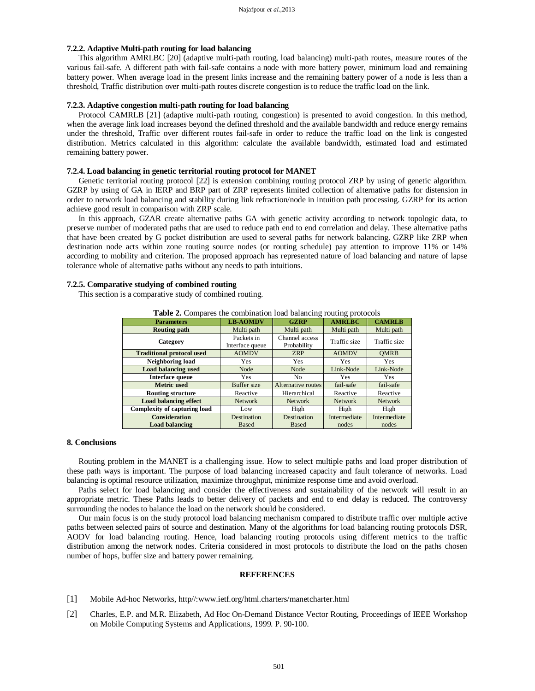# **7.2.2. Adaptive Multi-path routing for load balancing**

This algorithm AMRLBC [20] (adaptive multi-path routing, load balancing) multi-path routes, measure routes of the various fail-safe. A different path with fail-safe contains a node with more battery power, minimum load and remaining battery power. When average load in the present links increase and the remaining battery power of a node is less than a threshold, Traffic distribution over multi-path routes discrete congestion is to reduce the traffic load on the link.

# **7.2.3. Adaptive congestion multi-path routing for load balancing**

Protocol CAMRLB [21] (adaptive multi-path routing, congestion) is presented to avoid congestion. In this method, when the average link load increases beyond the defined threshold and the available bandwidth and reduce energy remains under the threshold, Traffic over different routes fail-safe in order to reduce the traffic load on the link is congested distribution. Metrics calculated in this algorithm: calculate the available bandwidth, estimated load and estimated remaining battery power.

#### **7.2.4. Load balancing in genetic territorial routing protocol for MANET**

Genetic territorial routing protocol [22] is extension combining routing protocol ZRP by using of genetic algorithm. GZRP by using of GA in IERP and BRP part of ZRP represents limited collection of alternative paths for distension in order to network load balancing and stability during link refraction/node in intuition path processing. GZRP for its action achieve good result in comparison with ZRP scale.

In this approach, GZAR create alternative paths GA with genetic activity according to network topologic data, to preserve number of moderated paths that are used to reduce path end to end correlation and delay. These alternative paths that have been created by G pocket distribution are used to several paths for network balancing. GZRP like ZRP when destination node acts within zone routing source nodes (or routing schedule) pay attention to improve 11% or 14% according to mobility and criterion. The proposed approach has represented nature of load balancing and nature of lapse tolerance whole of alternative paths without any needs to path intuitions.

#### **7.2.5. Comparative studying of combined routing**

This section is a comparative study of combined routing.

| <b>Parameters</b>                | <b>LB-AOMDV</b>               | <b>GZRP</b>                   | <b>AMRLBC</b>  | <b>CAMRLB</b> |  |  |
|----------------------------------|-------------------------------|-------------------------------|----------------|---------------|--|--|
| <b>Routing path</b>              | Multi path                    | Multi path                    | Multi path     | Multi path    |  |  |
| Category                         | Packets in<br>Interface queue | Channel access<br>Probability | Traffic size   | Traffic size  |  |  |
| <b>Traditional protocol used</b> | <b>AOMDV</b>                  | <b>ZRP</b>                    | <b>AOMDV</b>   | <b>OMRB</b>   |  |  |
| Neighboring load                 | Yes                           | Yes                           | Yes            | Yes           |  |  |
| <b>Load balancing used</b>       | Node                          | Node                          | Link-Node      | Link-Node     |  |  |
| Interface queue                  | Yes                           | No.                           | Yes            | Yes           |  |  |
| <b>Metric</b> used               | <b>Buffer</b> size            | Alternative routes            | fail-safe      | fail-safe     |  |  |
| <b>Routing structure</b>         | Reactive                      | Hierarchical                  | Reactive       | Reactive      |  |  |
| <b>Load balancing effect</b>     | <b>Network</b>                | <b>Network</b>                | <b>Network</b> | Network       |  |  |
| Complexity of capturing load     | Low                           | High                          | High           | High          |  |  |
| <b>Consideration</b>             | Destination                   | Destination                   | Intermediate   | Intermediate  |  |  |
| <b>Load balancing</b>            | <b>Based</b>                  | <b>Based</b>                  | nodes          | nodes         |  |  |

**Table 2.** Compares the combination load balancing routing protocols

#### **8. Conclusions**

Routing problem in the MANET is a challenging issue. How to select multiple paths and load proper distribution of these path ways is important. The purpose of load balancing increased capacity and fault tolerance of networks. Load balancing is optimal resource utilization, maximize throughput, minimize response time and avoid overload.

Paths select for load balancing and consider the effectiveness and sustainability of the network will result in an appropriate metric. These Paths leads to better delivery of packets and end to end delay is reduced. The controversy surrounding the nodes to balance the load on the network should be considered.

Our main focus is on the study protocol load balancing mechanism compared to distribute traffic over multiple active paths between selected pairs of source and destination. Many of the algorithms for load balancing routing protocols DSR, AODV for load balancing routing. Hence, load balancing routing protocols using different metrics to the traffic distribution among the network nodes. Criteria considered in most protocols to distribute the load on the paths chosen number of hops, buffer size and battery power remaining.

# **REFERENCES**

- [1] Mobile Ad-hoc Networks, http//:www.ietf.org/html.charters/manetcharter.html
- [2] Charles, E.P. and M.R. Elizabeth, Ad Hoc On-Demand Distance Vector Routing, Proceedings of IEEE Workshop on Mobile Computing Systems and Applications, 1999. P. 90-100.